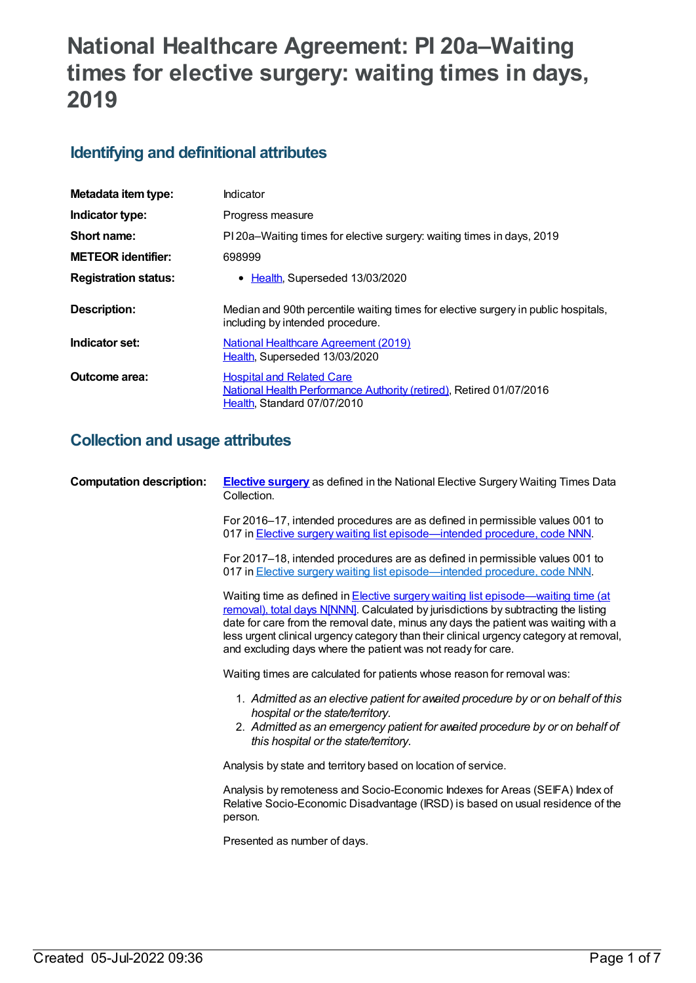# **National Healthcare Agreement: PI 20a–Waiting times for elective surgery: waiting times in days, 2019**

# **Identifying and definitional attributes**

| Metadata item type:         | Indicator                                                                                                                              |
|-----------------------------|----------------------------------------------------------------------------------------------------------------------------------------|
| Indicator type:             | Progress measure                                                                                                                       |
| Short name:                 | PI 20a–Waiting times for elective surgery: waiting times in days, 2019                                                                 |
| <b>METEOR identifier:</b>   | 698999                                                                                                                                 |
| <b>Registration status:</b> | • Health, Superseded 13/03/2020                                                                                                        |
| Description:                | Median and 90th percentile waiting times for elective surgery in public hospitals,<br>including by intended procedure.                 |
| Indicator set:              | <b>National Healthcare Agreement (2019)</b><br>Health, Superseded 13/03/2020                                                           |
| Outcome area:               | <b>Hospital and Related Care</b><br>National Health Performance Authority (retired), Retired 01/07/2016<br>Health, Standard 07/07/2010 |

# **Collection and usage attributes**

| <b>Computation description:</b> | <b>Elective surgery</b> as defined in the National Elective Surgery Waiting Times Data<br>Collection.                                                                                                                                                                                                                                                                                                                    |
|---------------------------------|--------------------------------------------------------------------------------------------------------------------------------------------------------------------------------------------------------------------------------------------------------------------------------------------------------------------------------------------------------------------------------------------------------------------------|
|                                 | For 2016–17, intended procedures are as defined in permissible values 001 to<br>017 in <b>Elective surgery waiting list episode</b> —intended procedure, code NNN.                                                                                                                                                                                                                                                       |
|                                 | For 2017-18, intended procedures are as defined in permissible values 001 to<br>017 in Elective surgery waiting list episode—intended procedure, code NNN.                                                                                                                                                                                                                                                               |
|                                 | Waiting time as defined in Elective surgery waiting list episode—waiting time (at<br>removal), total days N[NNN]. Calculated by jurisdictions by subtracting the listing<br>date for care from the removal date, minus any days the patient was waiting with a<br>less urgent clinical urgency category than their clinical urgency category at removal,<br>and excluding days where the patient was not ready for care. |
|                                 | Waiting times are calculated for patients whose reason for removal was:                                                                                                                                                                                                                                                                                                                                                  |
|                                 | 1. Admitted as an elective patient for avaited procedure by or on behalf of this<br>hospital or the state/territory.                                                                                                                                                                                                                                                                                                     |
|                                 | 2. Admitted as an emergency patient for awaited procedure by or on behalf of<br>this hospital or the state/territory.                                                                                                                                                                                                                                                                                                    |
|                                 | Analysis by state and territory based on location of service.                                                                                                                                                                                                                                                                                                                                                            |
|                                 | Analysis by remoteness and Socio-Economic Indexes for Areas (SEIFA) Index of<br>Relative Socio-Economic Disadvantage (IRSD) is based on usual residence of the<br>person.                                                                                                                                                                                                                                                |
|                                 | Presented as number of days.                                                                                                                                                                                                                                                                                                                                                                                             |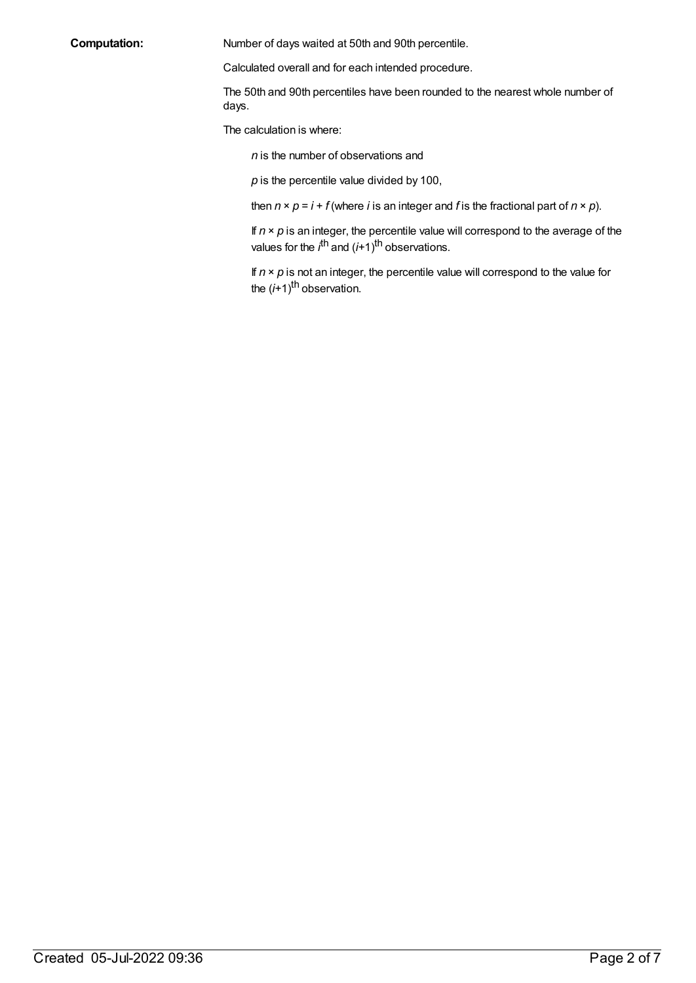**Computation:** Number of days waited at 50th and 90th percentile.

Calculated overall and for each intended procedure.

The 50th and 90th percentiles have been rounded to the nearest whole number of days.

The calculation is where:

*n* is the number of observations and

*p* is the percentile value divided by 100,

then  $n \times p = i + f$  (where *i* is an integer and *f* is the fractional part of  $n \times p$ ).

If  $n \times p$  is an integer, the percentile value will correspond to the average of the values for the *i*<sup>th</sup> and (*i*+1)<sup>th</sup> observations.

If  $n \times p$  is not an integer, the percentile value will correspond to the value for the (i+1)<sup>th</sup> observation.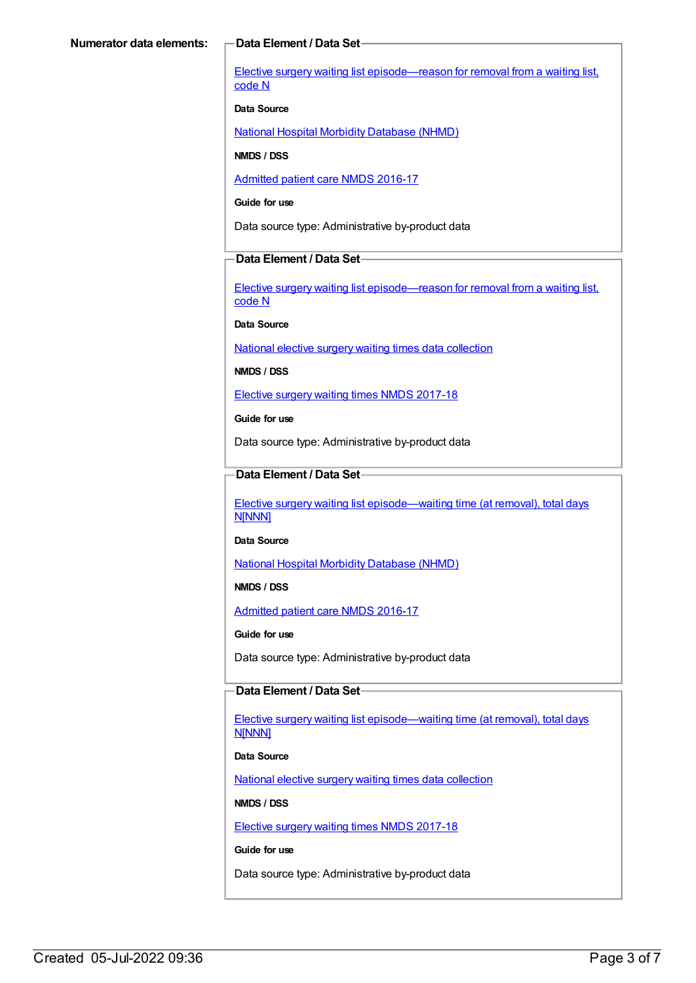Elective surgery waiting list [episode—reason](https://meteor.aihw.gov.au/content/471735) for removal from a waiting list, code N

#### **Data Source**

National Hospital Morbidity [Database](https://meteor.aihw.gov.au/content/394352) (NHMD)

**NMDS / DSS**

[Admitted](https://meteor.aihw.gov.au/content/612171) patient care NMDS 2016-17

**Guide for use**

Data source type: Administrative by-product data

#### **Data Element / Data Set**

Elective surgery waiting list [episode—reason](https://meteor.aihw.gov.au/content/471735) for removal from a waiting list, code N

**Data Source**

National elective surgery waiting times data [collection](https://meteor.aihw.gov.au/content/635534)

**NMDS / DSS**

Elective surgery waiting times NMDS [2017-18](https://meteor.aihw.gov.au/content/651416)

**Guide for use**

Data source type: Administrative by-product data

### **Data Element / Data Set**

Elective surgery waiting list [episode—waiting](https://meteor.aihw.gov.au/content/598074) time (at removal), total days N[NNN]

**Data Source**

National Hospital Morbidity [Database](https://meteor.aihw.gov.au/content/394352) (NHMD)

**NMDS / DSS**

[Admitted](https://meteor.aihw.gov.au/content/612171) patient care NMDS 2016-17

**Guide for use**

Data source type: Administrative by-product data

#### **Data Element / Data Set**

Elective surgery waiting list [episode—waiting](https://meteor.aihw.gov.au/content/598074) time (at removal), total days N[NNN]

**Data Source**

National elective surgery waiting times data [collection](https://meteor.aihw.gov.au/content/635534)

**NMDS / DSS**

Elective surgery waiting times NMDS [2017-18](https://meteor.aihw.gov.au/content/651416)

**Guide for use**

Data source type: Administrative by-product data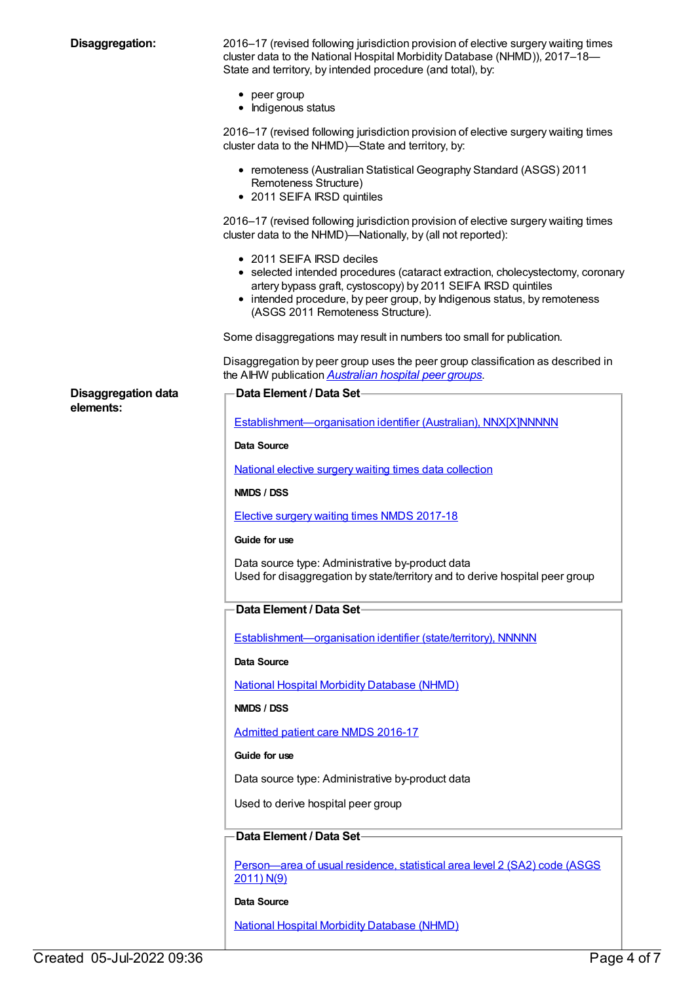**Disaggregation:** 2016–17 (revised following jurisdiction provision of elective surgery waiting times cluster data to the National Hospital Morbidity Database (NHMD)), 2017–18— State and territory, by intended procedure (and total), by:

- peer group
- Indigenous status

2016–17 (revised following jurisdiction provision of elective surgery waiting times cluster data to the NHMD)—State and territory, by:

- remoteness (Australian Statistical Geography Standard (ASGS) 2011 Remoteness Structure)
- 2011 SEIFA IRSD quintiles

2016–17 (revised following jurisdiction provision of elective surgery waiting times cluster data to the NHMD)—Nationally, by (all not reported):

• 2011 SEIFA IRSD deciles

**Data Element / Data Set**

- selected intended procedures (cataract extraction, cholecystectomy, coronary artery bypass graft, cystoscopy) by 2011 SEIFA IRSD quintiles
- intended procedure, by peer group, by Indigenous status, by remoteness (ASGS 2011 Remoteness Structure).

Some disaggregations may result in numbers too small for publication.

Disaggregation by peer group uses the peer group classification as described in the AIHW publication *[Australian](http://www.aihw.gov.au/publication-detail/?id=60129553446) hospital peer groups*.

#### **Disaggregation data elements:**

| Establishment-organisation identifier (Australian), NNX[X]NNNNN                                                                  |  |
|----------------------------------------------------------------------------------------------------------------------------------|--|
| Data Source                                                                                                                      |  |
| National elective surgery waiting times data collection                                                                          |  |
| NMDS / DSS                                                                                                                       |  |
| <b>Elective surgery waiting times NMDS 2017-18</b>                                                                               |  |
| Guide for use                                                                                                                    |  |
| Data source type: Administrative by-product data<br>Used for disaggregation by state/territory and to derive hospital peer group |  |
| Data Element / Data Set-                                                                                                         |  |
| Establishment-organisation identifier (state/territory), NNNNN                                                                   |  |
| Data Source                                                                                                                      |  |
| <b>National Hospital Morbidity Database (NHMD)</b>                                                                               |  |
| NMDS / DSS                                                                                                                       |  |
| <b>Admitted patient care NMDS 2016-17</b>                                                                                        |  |
| Guide for use                                                                                                                    |  |
| Data source type: Administrative by-product data                                                                                 |  |
| Used to derive hospital peer group                                                                                               |  |
| Data Element / Data Set-                                                                                                         |  |
| Person-area of usual residence, statistical area level 2 (SA2) code (ASGS<br>2011) N(9)                                          |  |
| Data Source                                                                                                                      |  |
| <b>National Hospital Morbidity Database (NHMD)</b>                                                                               |  |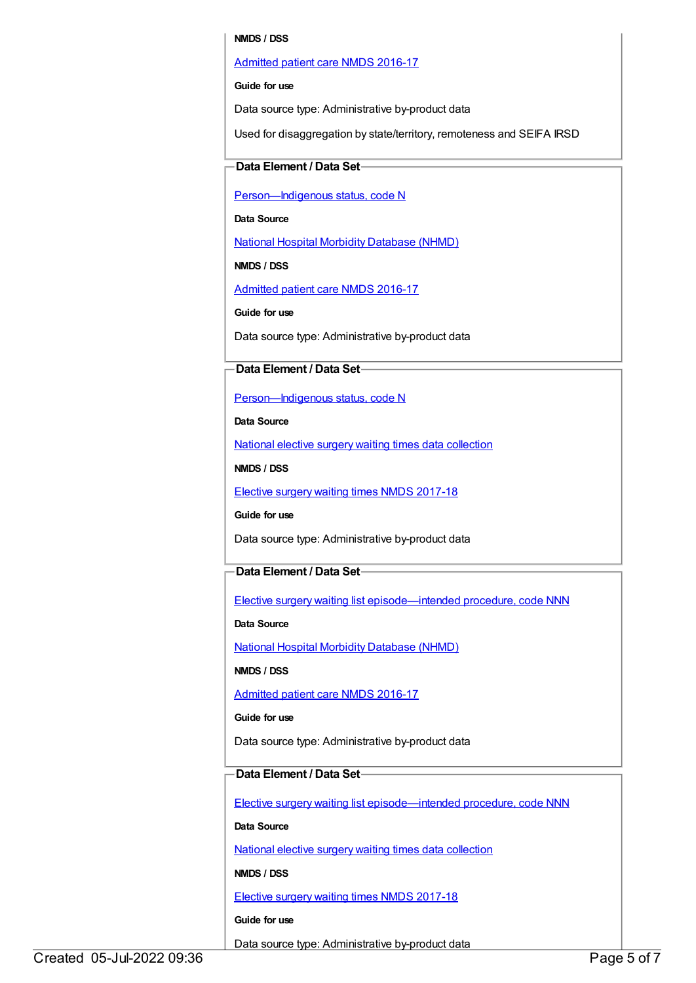#### **NMDS / DSS**

#### [Admitted](https://meteor.aihw.gov.au/content/612171) patient care NMDS 2016-17

#### **Guide for use**

Data source type: Administrative by-product data

Used for disaggregation by state/territory, remoteness and SEIFA IRSD

#### **Data Element / Data Set**

Person-Indigenous status, code N

**Data Source**

National Hospital Morbidity [Database](https://meteor.aihw.gov.au/content/394352) (NHMD)

**NMDS / DSS**

[Admitted](https://meteor.aihw.gov.au/content/612171) patient care NMDS 2016-17

**Guide for use**

Data source type: Administrative by-product data

#### **Data Element / Data Set**

Person-Indigenous status, code N

**Data Source**

National elective surgery waiting times data [collection](https://meteor.aihw.gov.au/content/635534)

**NMDS / DSS**

Elective surgery waiting times NMDS [2017-18](https://meteor.aihw.gov.au/content/651416)

**Guide for use**

Data source type: Administrative by-product data

### **Data Element / Data Set**

Elective surgery waiting list [episode—intended](https://meteor.aihw.gov.au/content/637500) procedure, code NNN

**Data Source**

National Hospital Morbidity [Database](https://meteor.aihw.gov.au/content/394352) (NHMD)

**NMDS / DSS**

[Admitted](https://meteor.aihw.gov.au/content/612171) patient care NMDS 2016-17

**Guide for use**

Data source type: Administrative by-product data

### **Data Element / Data Set**

Elective surgery waiting list [episode—intended](https://meteor.aihw.gov.au/content/683718) procedure, code NNN

**Data Source**

National elective surgery waiting times data [collection](https://meteor.aihw.gov.au/content/635534)

**NMDS / DSS**

Elective surgery waiting times NMDS [2017-18](https://meteor.aihw.gov.au/content/651416)

**Guide for use**

Data source type: Administrative by-product data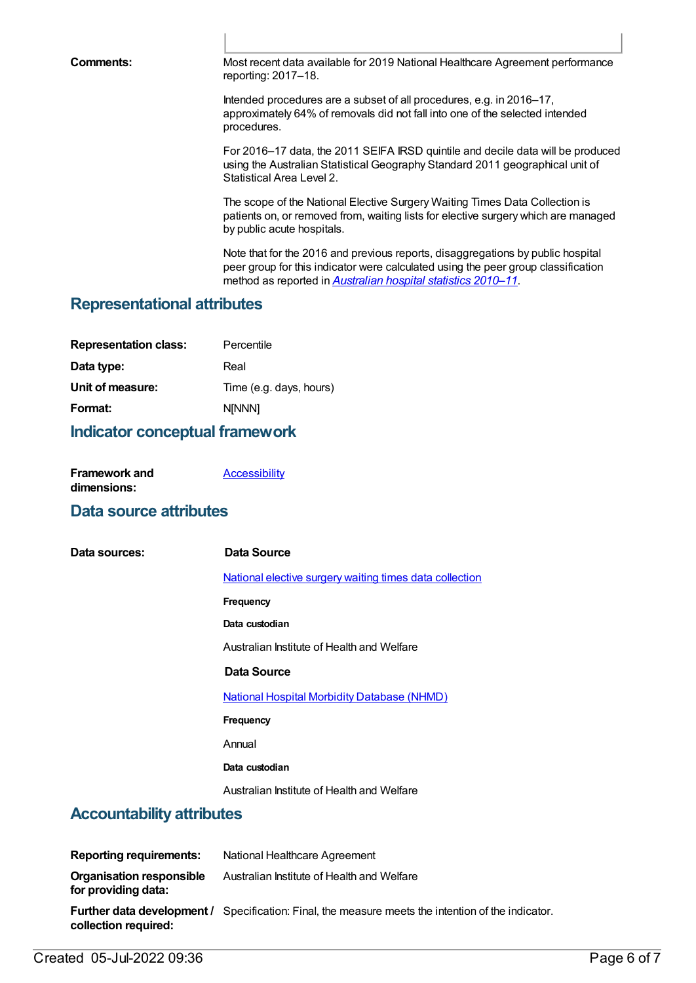**Comments:** Most recent data available for 2019 National Healthcare Agreement performance reporting: 2017–18.

> Intended procedures are a subset of all procedures, e.g. in 2016–17, approximately 64% of removals did not fall into one of the selected intended procedures.

For 2016–17 data, the 2011 SEIFA IRSD quintile and decile data will be produced using the Australian Statistical Geography Standard 2011 geographical unit of Statistical Area Level 2.

The scope of the National Elective Surgery Waiting Times Data Collection is patients on, or removed from, waiting lists for elective surgery which are managed by public acute hospitals.

Note that for the 2016 and previous reports, disaggregations by public hospital peer group for this indicator were calculated using the peer group classification method as reported in *[Australian](http://www.aihw.gov.au/publication-detail/?id=10737421633) hospital statistics 2010–11*.

## **Representational attributes**

| <b>Representation class:</b> | Percentile              |
|------------------------------|-------------------------|
| Data type:                   | Real                    |
| Unit of measure:             | Time (e.g. days, hours) |
| Format:                      | <b>NINNN1</b>           |

## **Indicator conceptual framework**

| <b>Framework and</b> | Accessibility |
|----------------------|---------------|
| dimensions:          |               |

## **Data source attributes**

| Data sources:                    | Data Source                                                    |
|----------------------------------|----------------------------------------------------------------|
|                                  | <u>National elective surgery waiting times data collection</u> |
|                                  | <b>Frequency</b>                                               |
|                                  | Data custodian                                                 |
|                                  | Australian Institute of Health and Welfare                     |
|                                  | Data Source                                                    |
|                                  | <b>National Hospital Morbidity Database (NHMD)</b>             |
|                                  | <b>Frequency</b>                                               |
|                                  | Annual                                                         |
|                                  | Data custodian                                                 |
|                                  | Australian Institute of Health and Welfare                     |
| <b>Accountability attributes</b> |                                                                |

| <b>Reporting requirements:</b>                         | National Healthcare Agreement                                                                             |
|--------------------------------------------------------|-----------------------------------------------------------------------------------------------------------|
| <b>Organisation responsible</b><br>for providing data: | Australian Institute of Health and Welfare                                                                |
| collection required:                                   | <b>Further data development /</b> Specification: Final, the measure meets the intention of the indicator. |